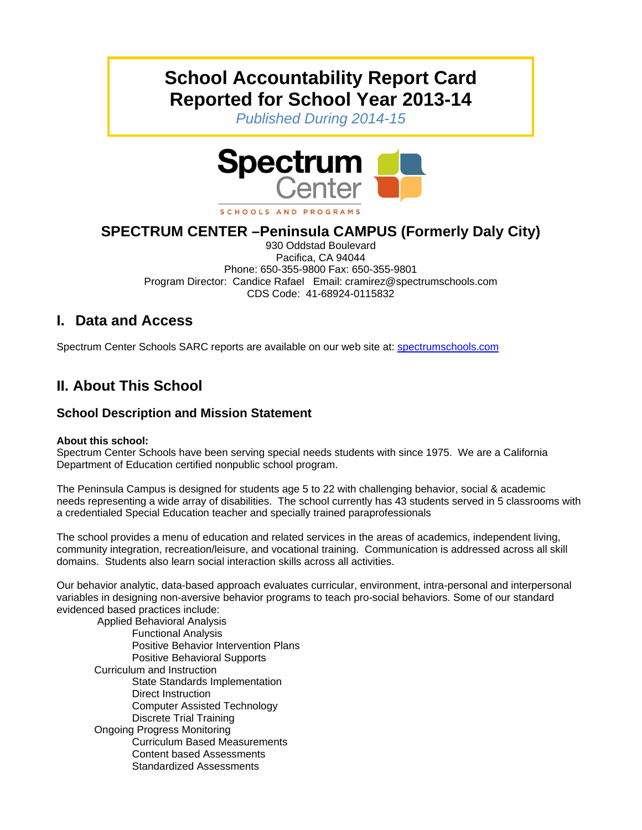# **School Accountability Report Card Reported for School Year 2013-14**

*Published During 2014-15* 



## **SPECTRUM CENTER –Peninsula CAMPUS (Formerly Daly City)**

930 Oddstad Boulevard Pacifica, CA 94044 Phone: 650-355-9800 Fax: 650-355-9801 Program Director: Candice Rafael Email: cramirez@spectrumschools.com CDS Code: 41-68924-0115832

## **I. Data and Access**

Spectrum Center Schools SARC reports are available on our web site at: spectrumschools.com

# **II. About This School**

### **School Description and Mission Statement**

#### **About this school:**

Spectrum Center Schools have been serving special needs students with since 1975. We are a California Department of Education certified nonpublic school program.

The Peninsula Campus is designed for students age 5 to 22 with challenging behavior, social & academic needs representing a wide array of disabilities. The school currently has 43 students served in 5 classrooms with a credentialed Special Education teacher and specially trained paraprofessionals

The school provides a menu of education and related services in the areas of academics, independent living, community integration, recreation/leisure, and vocational training. Communication is addressed across all skill domains. Students also learn social interaction skills across all activities.

Our behavior analytic, data-based approach evaluates curricular, environment, intra-personal and interpersonal variables in designing non-aversive behavior programs to teach pro-social behaviors. Some of our standard evidenced based practices include:

 Applied Behavioral Analysis Functional Analysis Positive Behavior Intervention Plans Positive Behavioral Supports Curriculum and Instruction State Standards Implementation Direct Instruction Computer Assisted Technology Discrete Trial Training Ongoing Progress Monitoring Curriculum Based Measurements Content based Assessments Standardized Assessments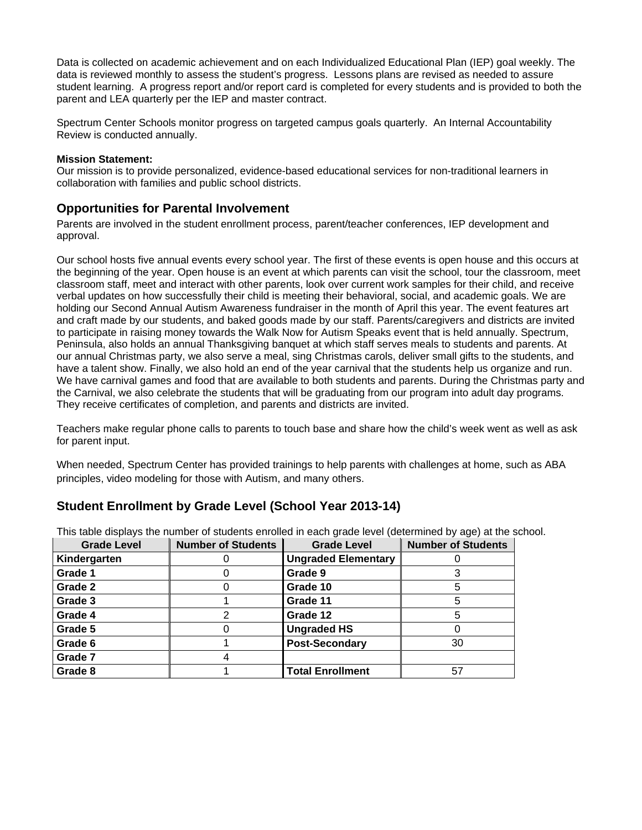Data is collected on academic achievement and on each Individualized Educational Plan (IEP) goal weekly. The data is reviewed monthly to assess the student's progress. Lessons plans are revised as needed to assure student learning. A progress report and/or report card is completed for every students and is provided to both the parent and LEA quarterly per the IEP and master contract.

Spectrum Center Schools monitor progress on targeted campus goals quarterly. An Internal Accountability Review is conducted annually.

#### **Mission Statement:**

Our mission is to provide personalized, evidence-based educational services for non-traditional learners in collaboration with families and public school districts.

#### **Opportunities for Parental Involvement**

Parents are involved in the student enrollment process, parent/teacher conferences, IEP development and approval.

Our school hosts five annual events every school year. The first of these events is open house and this occurs at the beginning of the year. Open house is an event at which parents can visit the school, tour the classroom, meet classroom staff, meet and interact with other parents, look over current work samples for their child, and receive verbal updates on how successfully their child is meeting their behavioral, social, and academic goals. We are holding our Second Annual Autism Awareness fundraiser in the month of April this year. The event features art and craft made by our students, and baked goods made by our staff. Parents/caregivers and districts are invited to participate in raising money towards the Walk Now for Autism Speaks event that is held annually. Spectrum, Peninsula, also holds an annual Thanksgiving banquet at which staff serves meals to students and parents. At our annual Christmas party, we also serve a meal, sing Christmas carols, deliver small gifts to the students, and have a talent show. Finally, we also hold an end of the year carnival that the students help us organize and run. We have carnival games and food that are available to both students and parents. During the Christmas party and the Carnival, we also celebrate the students that will be graduating from our program into adult day programs. They receive certificates of completion, and parents and districts are invited.

Teachers make regular phone calls to parents to touch base and share how the child's week went as well as ask for parent input.

When needed, Spectrum Center has provided trainings to help parents with challenges at home, such as ABA principles, video modeling for those with Autism, and many others.

#### **Student Enrollment by Grade Level (School Year 2013-14)**

| <b>Grade Level</b> | <b>Number of Students</b> | <b>Grade Level</b>         | <b>Number of Students</b> |
|--------------------|---------------------------|----------------------------|---------------------------|
| Kindergarten       |                           | <b>Ungraded Elementary</b> |                           |
| Grade 1            |                           | Grade 9                    |                           |
| Grade 2            |                           | Grade 10                   |                           |
| Grade 3            |                           | Grade 11                   |                           |
| Grade 4            |                           | Grade 12                   |                           |
| Grade 5            |                           | <b>Ungraded HS</b>         |                           |
| Grade 6            |                           | <b>Post-Secondary</b>      | 30                        |
| Grade 7            |                           |                            |                           |
| Grade 8            |                           | <b>Total Enrollment</b>    | 57                        |

This table displays the number of students enrolled in each grade level (determined by age) at the school.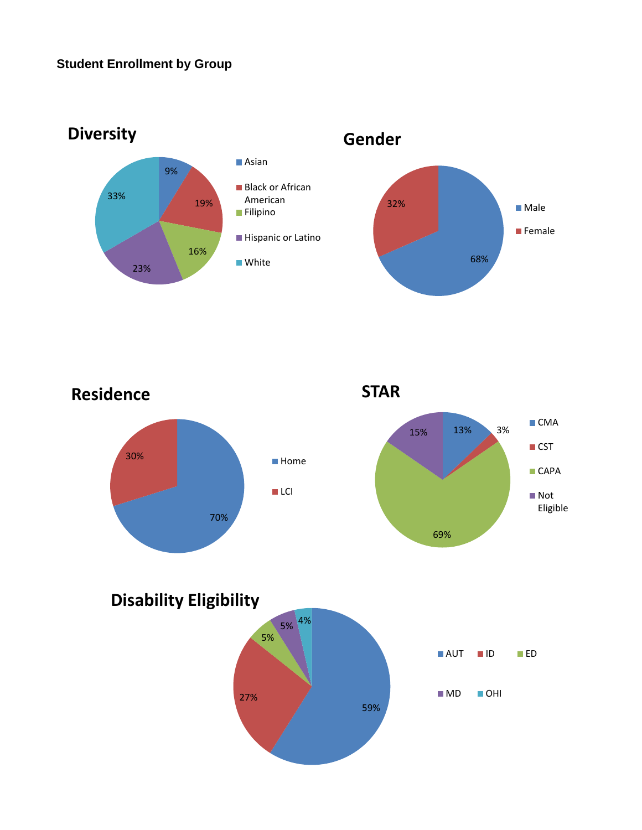## **Student Enrollment by Group**



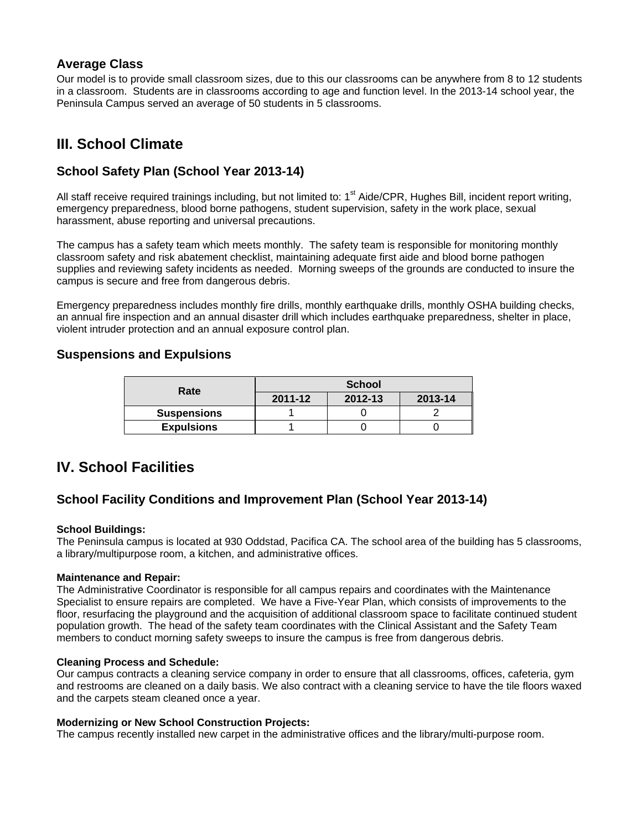#### **Average Class**

Our model is to provide small classroom sizes, due to this our classrooms can be anywhere from 8 to 12 students in a classroom. Students are in classrooms according to age and function level. In the 2013-14 school year, the Peninsula Campus served an average of 50 students in 5 classrooms.

## **III. School Climate**

#### **School Safety Plan (School Year 2013-14)**

All staff receive required trainings including, but not limited to: 1<sup>st</sup> Aide/CPR, Hughes Bill, incident report writing, emergency preparedness, blood borne pathogens, student supervision, safety in the work place, sexual harassment, abuse reporting and universal precautions.

The campus has a safety team which meets monthly. The safety team is responsible for monitoring monthly classroom safety and risk abatement checklist, maintaining adequate first aide and blood borne pathogen supplies and reviewing safety incidents as needed. Morning sweeps of the grounds are conducted to insure the campus is secure and free from dangerous debris.

Emergency preparedness includes monthly fire drills, monthly earthquake drills, monthly OSHA building checks, an annual fire inspection and an annual disaster drill which includes earthquake preparedness, shelter in place, violent intruder protection and an annual exposure control plan.

#### **Suspensions and Expulsions**

| Rate               | <b>School</b> |         |         |  |
|--------------------|---------------|---------|---------|--|
|                    | 2011-12       | 2012-13 | 2013-14 |  |
| <b>Suspensions</b> |               |         |         |  |
| <b>Expulsions</b>  |               |         |         |  |

## **IV. School Facilities**

#### **School Facility Conditions and Improvement Plan (School Year 2013-14)**

#### **School Buildings:**

The Peninsula campus is located at 930 Oddstad, Pacifica CA. The school area of the building has 5 classrooms, a library/multipurpose room, a kitchen, and administrative offices.

#### **Maintenance and Repair:**

The Administrative Coordinator is responsible for all campus repairs and coordinates with the Maintenance Specialist to ensure repairs are completed. We have a Five-Year Plan, which consists of improvements to the floor, resurfacing the playground and the acquisition of additional classroom space to facilitate continued student population growth. The head of the safety team coordinates with the Clinical Assistant and the Safety Team members to conduct morning safety sweeps to insure the campus is free from dangerous debris.

#### **Cleaning Process and Schedule:**

Our campus contracts a cleaning service company in order to ensure that all classrooms, offices, cafeteria, gym and restrooms are cleaned on a daily basis. We also contract with a cleaning service to have the tile floors waxed and the carpets steam cleaned once a year.

#### **Modernizing or New School Construction Projects:**

The campus recently installed new carpet in the administrative offices and the library/multi-purpose room.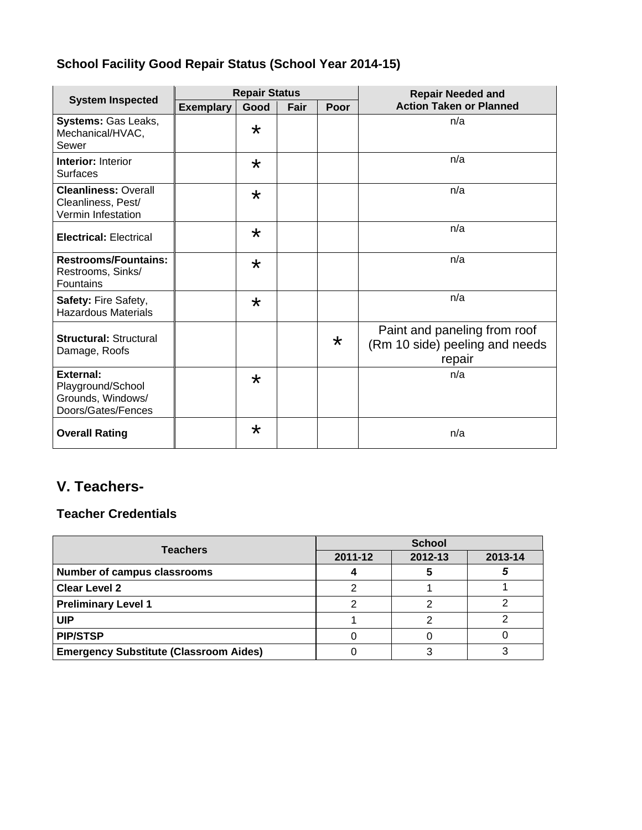# **School Facility Good Repair Status (School Year 2014-15)**

|                                                                                  | <b>Repair Status</b> |         |      | <b>Repair Needed and</b> |                                                                          |  |
|----------------------------------------------------------------------------------|----------------------|---------|------|--------------------------|--------------------------------------------------------------------------|--|
| <b>System Inspected</b>                                                          | <b>Exemplary</b>     | Good    | Fair | Poor                     | <b>Action Taken or Planned</b>                                           |  |
| Systems: Gas Leaks,<br>Mechanical/HVAC,<br>Sewer                                 |                      | $\star$ |      |                          | n/a                                                                      |  |
| <b>Interior: Interior</b><br><b>Surfaces</b>                                     |                      | $\star$ |      |                          | n/a                                                                      |  |
| <b>Cleanliness: Overall</b><br>Cleanliness, Pest/<br>Vermin Infestation          |                      | $\star$ |      |                          | n/a                                                                      |  |
| <b>Electrical: Electrical</b>                                                    |                      | $\star$ |      |                          | n/a                                                                      |  |
| <b>Restrooms/Fountains:</b><br>Restrooms, Sinks/<br><b>Fountains</b>             |                      | $\star$ |      |                          | n/a                                                                      |  |
| Safety: Fire Safety,<br><b>Hazardous Materials</b>                               |                      | $\star$ |      |                          | n/a                                                                      |  |
| <b>Structural: Structural</b><br>Damage, Roofs                                   |                      |         |      | $\star$                  | Paint and paneling from roof<br>(Rm 10 side) peeling and needs<br>repair |  |
| <b>External:</b><br>Playground/School<br>Grounds, Windows/<br>Doors/Gates/Fences |                      | $\star$ |      |                          | n/a                                                                      |  |
| <b>Overall Rating</b>                                                            |                      | $\star$ |      |                          | n/a                                                                      |  |

# **V. Teachers-**

## **Teacher Credentials**

| <b>Teachers</b>                               | <b>School</b> |         |         |  |
|-----------------------------------------------|---------------|---------|---------|--|
|                                               | 2011-12       | 2012-13 | 2013-14 |  |
| <b>Number of campus classrooms</b>            |               |         |         |  |
| <b>Clear Level 2</b>                          |               |         |         |  |
| <b>Preliminary Level 1</b>                    |               |         |         |  |
| UIP                                           |               |         |         |  |
| <b>PIP/STSP</b>                               |               |         |         |  |
| <b>Emergency Substitute (Classroom Aides)</b> |               |         |         |  |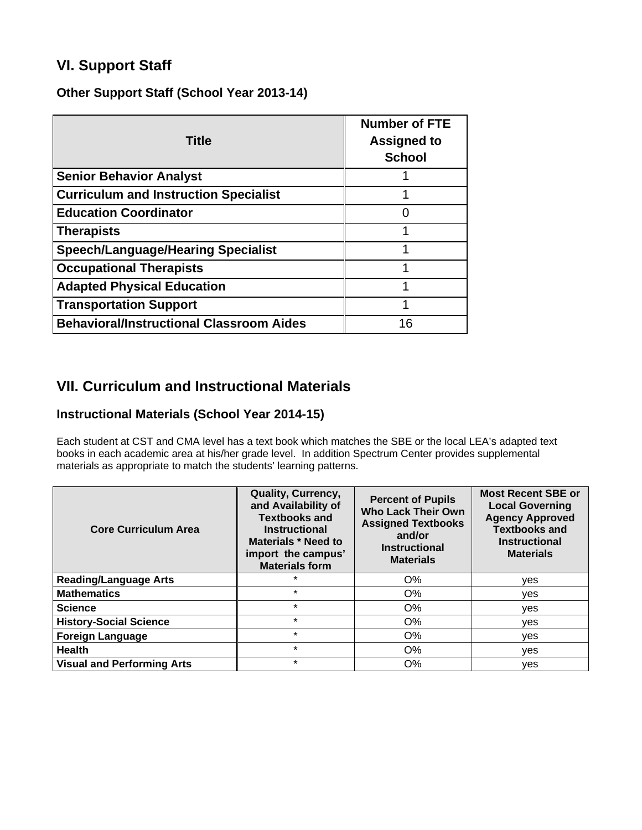# **VI. Support Staff**

#### **Other Support Staff (School Year 2013-14)**

| <b>Title</b>                                    | <b>Number of FTE</b><br><b>Assigned to</b><br><b>School</b> |
|-------------------------------------------------|-------------------------------------------------------------|
| <b>Senior Behavior Analyst</b>                  |                                                             |
| <b>Curriculum and Instruction Specialist</b>    |                                                             |
| <b>Education Coordinator</b>                    |                                                             |
| <b>Therapists</b>                               |                                                             |
| <b>Speech/Language/Hearing Specialist</b>       |                                                             |
| <b>Occupational Therapists</b>                  |                                                             |
| <b>Adapted Physical Education</b>               | ◢                                                           |
| <b>Transportation Support</b>                   | 1                                                           |
| <b>Behavioral/Instructional Classroom Aides</b> | 16                                                          |

## **VII. Curriculum and Instructional Materials**

### **Instructional Materials (School Year 2014-15)**

Each student at CST and CMA level has a text book which matches the SBE or the local LEA's adapted text books in each academic area at his/her grade level. In addition Spectrum Center provides supplemental materials as appropriate to match the students' learning patterns.

| <b>Core Curriculum Area</b>       | Quality, Currency,<br>and Availability of<br><b>Textbooks and</b><br><b>Instructional</b><br>Materials * Need to<br>import the campus'<br><b>Materials form</b> | <b>Percent of Pupils</b><br><b>Who Lack Their Own</b><br><b>Assigned Textbooks</b><br>and/or<br><b>Instructional</b><br><b>Materials</b> | <b>Most Recent SBE or</b><br><b>Local Governing</b><br><b>Agency Approved</b><br><b>Textbooks and</b><br><b>Instructional</b><br><b>Materials</b> |
|-----------------------------------|-----------------------------------------------------------------------------------------------------------------------------------------------------------------|------------------------------------------------------------------------------------------------------------------------------------------|---------------------------------------------------------------------------------------------------------------------------------------------------|
| <b>Reading/Language Arts</b>      | $\star$                                                                                                                                                         | O%                                                                                                                                       | ves                                                                                                                                               |
| <b>Mathematics</b>                | $\star$                                                                                                                                                         | $O\%$                                                                                                                                    | ves                                                                                                                                               |
| <b>Science</b>                    | $\star$                                                                                                                                                         | $O\%$                                                                                                                                    | yes                                                                                                                                               |
| <b>History-Social Science</b>     | $\star$                                                                                                                                                         | $O\%$                                                                                                                                    | yes                                                                                                                                               |
| <b>Foreign Language</b>           | $\star$                                                                                                                                                         | O%                                                                                                                                       | ves                                                                                                                                               |
| <b>Health</b>                     | $\star$                                                                                                                                                         | O%                                                                                                                                       | yes                                                                                                                                               |
| <b>Visual and Performing Arts</b> | $\star$                                                                                                                                                         | $O\%$                                                                                                                                    | yes                                                                                                                                               |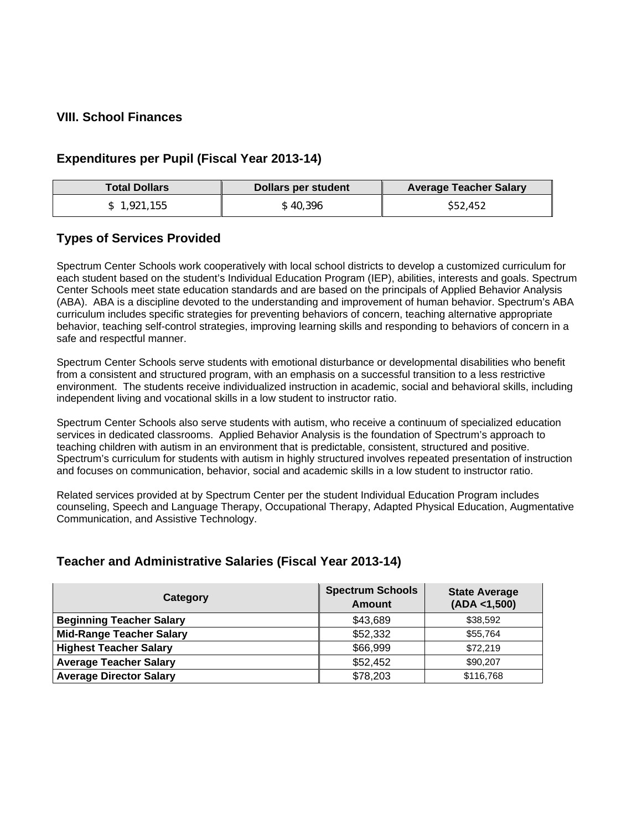#### **VIII. School Finances**

#### **Expenditures per Pupil (Fiscal Year 2013-14)**

| <b>Total Dollars</b> | <b>Dollars per student</b> | <b>Average Teacher Salary</b> |
|----------------------|----------------------------|-------------------------------|
| \$1.921.155          | \$40.396                   | \$52,452                      |

#### **Types of Services Provided**

Spectrum Center Schools work cooperatively with local school districts to develop a customized curriculum for each student based on the student's Individual Education Program (IEP), abilities, interests and goals. Spectrum Center Schools meet state education standards and are based on the principals of Applied Behavior Analysis (ABA). ABA is a discipline devoted to the understanding and improvement of human behavior. Spectrum's ABA curriculum includes specific strategies for preventing behaviors of concern, teaching alternative appropriate behavior, teaching self-control strategies, improving learning skills and responding to behaviors of concern in a safe and respectful manner.

Spectrum Center Schools serve students with emotional disturbance or developmental disabilities who benefit from a consistent and structured program, with an emphasis on a successful transition to a less restrictive environment. The students receive individualized instruction in academic, social and behavioral skills, including independent living and vocational skills in a low student to instructor ratio.

Spectrum Center Schools also serve students with autism, who receive a continuum of specialized education services in dedicated classrooms. Applied Behavior Analysis is the foundation of Spectrum's approach to teaching children with autism in an environment that is predictable, consistent, structured and positive. Spectrum's curriculum for students with autism in highly structured involves repeated presentation of instruction and focuses on communication, behavior, social and academic skills in a low student to instructor ratio.

Related services provided at by Spectrum Center per the student Individual Education Program includes counseling, Speech and Language Therapy, Occupational Therapy, Adapted Physical Education, Augmentative Communication, and Assistive Technology.

#### **Teacher and Administrative Salaries (Fiscal Year 2013-14)**

| Category                        | <b>Spectrum Schools</b><br>Amount | <b>State Average</b><br>(ADA < 1,500) |
|---------------------------------|-----------------------------------|---------------------------------------|
| <b>Beginning Teacher Salary</b> | \$43,689                          | \$38,592                              |
| <b>Mid-Range Teacher Salary</b> | \$52,332                          | \$55.764                              |
| <b>Highest Teacher Salary</b>   | \$66,999                          | \$72,219                              |
| <b>Average Teacher Salary</b>   | \$52,452                          | \$90,207                              |
| <b>Average Director Salary</b>  | \$78,203                          | \$116,768                             |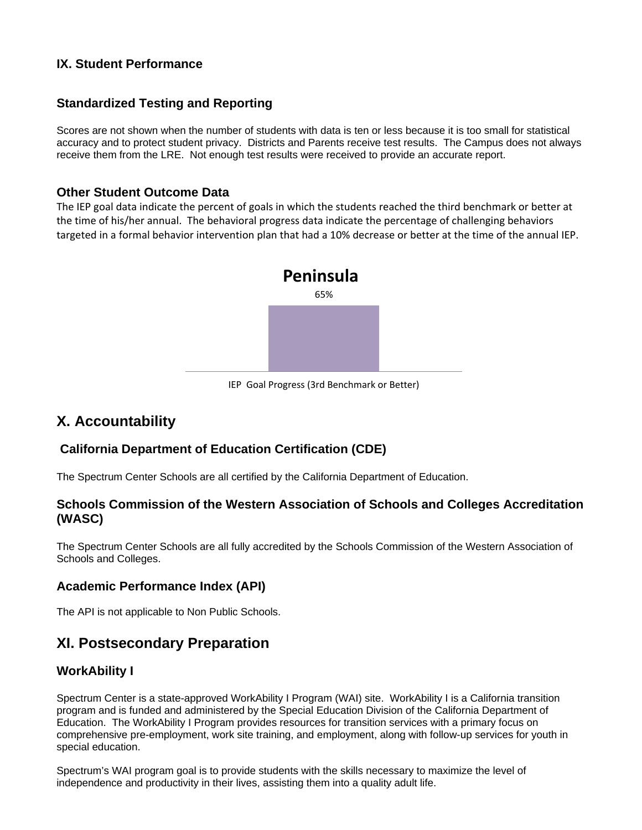#### **IX. Student Performance**

#### **Standardized Testing and Reporting**

Scores are not shown when the number of students with data is ten or less because it is too small for statistical accuracy and to protect student privacy. Districts and Parents receive test results. The Campus does not always receive them from the LRE. Not enough test results were received to provide an accurate report.

#### **Other Student Outcome Data**

The IEP goal data indicate the percent of goals in which the students reached the third benchmark or better at the time of his/her annual. The behavioral progress data indicate the percentage of challenging behaviors targeted in a formal behavior intervention plan that had a 10% decrease or better at the time of the annual IEP.



IEP Goal Progress (3rd Benchmark or Better)

## **X. Accountability**

### **California Department of Education Certification (CDE)**

The Spectrum Center Schools are all certified by the California Department of Education.

#### **Schools Commission of the Western Association of Schools and Colleges Accreditation (WASC)**

The Spectrum Center Schools are all fully accredited by the Schools Commission of the Western Association of Schools and Colleges.

#### **Academic Performance Index (API)**

The API is not applicable to Non Public Schools.

## **XI. Postsecondary Preparation**

#### **WorkAbility I**

Spectrum Center is a state-approved WorkAbility I Program (WAI) site. WorkAbility I is a California transition program and is funded and administered by the Special Education Division of the California Department of Education. The WorkAbility I Program provides resources for transition services with a primary focus on comprehensive pre-employment, work site training, and employment, along with follow-up services for youth in special education.

Spectrum's WAI program goal is to provide students with the skills necessary to maximize the level of independence and productivity in their lives, assisting them into a quality adult life.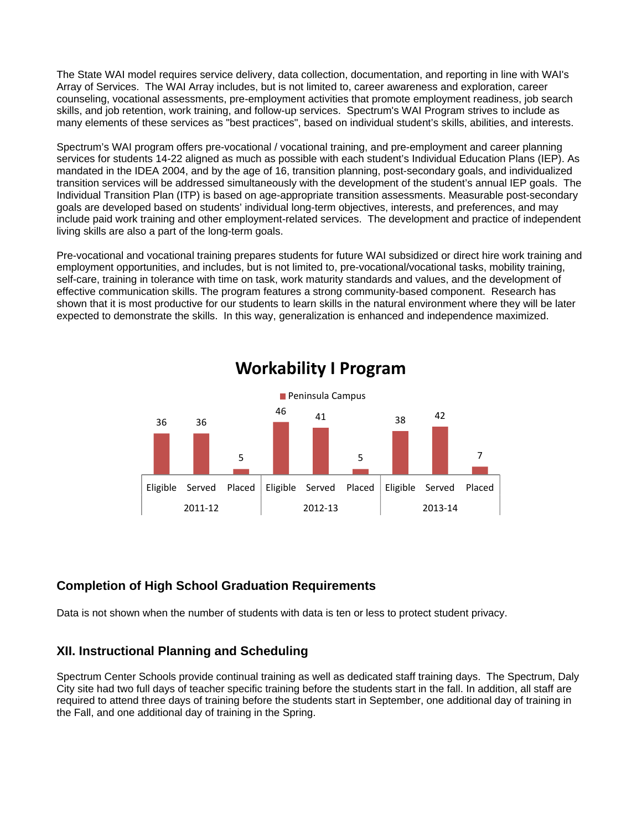The State WAI model requires service delivery, data collection, documentation, and reporting in line with WAI's Array of Services. The WAI Array includes, but is not limited to, career awareness and exploration, career counseling, vocational assessments, pre-employment activities that promote employment readiness, job search skills, and job retention, work training, and follow-up services. Spectrum's WAI Program strives to include as many elements of these services as "best practices", based on individual student's skills, abilities, and interests.

Spectrum's WAI program offers pre-vocational / vocational training, and pre-employment and career planning services for students 14-22 aligned as much as possible with each student's Individual Education Plans (IEP). As mandated in the IDEA 2004, and by the age of 16, transition planning, post-secondary goals, and individualized transition services will be addressed simultaneously with the development of the student's annual IEP goals. The Individual Transition Plan (ITP) is based on age-appropriate transition assessments. Measurable post-secondary goals are developed based on students' individual long-term objectives, interests, and preferences, and may include paid work training and other employment-related services. The development and practice of independent living skills are also a part of the long-term goals.

Pre-vocational and vocational training prepares students for future WAI subsidized or direct hire work training and employment opportunities, and includes, but is not limited to, pre-vocational/vocational tasks, mobility training, self-care, training in tolerance with time on task, work maturity standards and values, and the development of effective communication skills. The program features a strong community-based component. Research has shown that it is most productive for our students to learn skills in the natural environment where they will be later expected to demonstrate the skills. In this way, generalization is enhanced and independence maximized.



## **Workability I Program**

#### **Completion of High School Graduation Requirements**

Data is not shown when the number of students with data is ten or less to protect student privacy.

#### **XII. Instructional Planning and Scheduling**

Spectrum Center Schools provide continual training as well as dedicated staff training days. The Spectrum, Daly City site had two full days of teacher specific training before the students start in the fall. In addition, all staff are required to attend three days of training before the students start in September, one additional day of training in the Fall, and one additional day of training in the Spring.